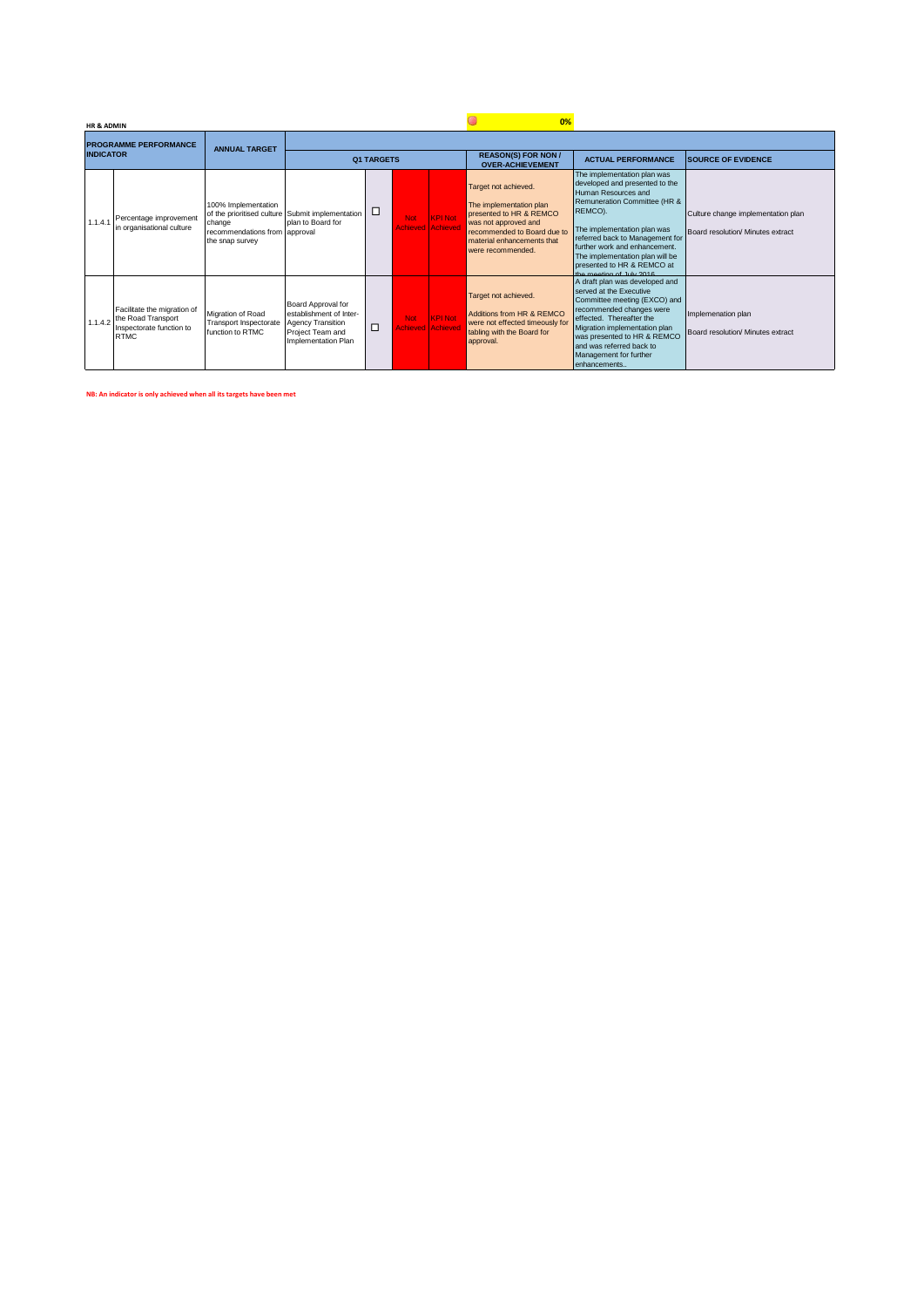|                  | <b>HR &amp; ADMIN</b> |                                                                                                      |                                                                                   |                                                                                                               |   |                                        |                | 0%                                                                                                                                                                                   |                                                                                                                                                                                                                                                                                                                                 |                                                                         |  |  |  |
|------------------|-----------------------|------------------------------------------------------------------------------------------------------|-----------------------------------------------------------------------------------|---------------------------------------------------------------------------------------------------------------|---|----------------------------------------|----------------|--------------------------------------------------------------------------------------------------------------------------------------------------------------------------------------|---------------------------------------------------------------------------------------------------------------------------------------------------------------------------------------------------------------------------------------------------------------------------------------------------------------------------------|-------------------------------------------------------------------------|--|--|--|
|                  |                       | <b>PROGRAMME PERFORMANCE</b>                                                                         | <b>ANNUAL TARGET</b>                                                              |                                                                                                               |   |                                        |                |                                                                                                                                                                                      |                                                                                                                                                                                                                                                                                                                                 |                                                                         |  |  |  |
| <b>INDICATOR</b> |                       |                                                                                                      |                                                                                   | <b>Q1 TARGETS</b>                                                                                             |   |                                        |                | <b>REASON(S) FOR NON /</b><br><b>OVER-ACHIEVEMENT</b>                                                                                                                                | <b>ACTUAL PERFORMANCE</b>                                                                                                                                                                                                                                                                                                       | <b>SOURCE OF EVIDENCE</b>                                               |  |  |  |
|                  | 1.1.4.1               | Percentage improvement<br>in organisational culture                                                  | 100% Implementation<br>change<br>recommendations from approval<br>the snap survey | of the prioritised culture Submit implementation<br>plan to Board for                                         |   | <b>Not</b><br><b>Achieved Achieved</b> | <b>KPI Not</b> | Target not achieved.<br>The implementation plan<br>presented to HR & REMCO<br>was not approved and<br>recommended to Board due to<br>material enhancements that<br>were recommended. | The implementation plan was<br>developed and presented to the<br>Human Resources and<br>Remuneration Committee (HR &<br>REMCO).<br>The implementation plan was<br>referred back to Management for<br>further work and enhancement.<br>The implementation plan will be<br>presented to HR & REMCO at<br>the meeting of July 2018 | Culture change implementation plan<br>Board resolution/ Minutes extract |  |  |  |
|                  |                       | Facilitate the migration of<br>1.1.4.2 the Road Transport<br>Inspectorate function to<br><b>RTMC</b> | Migration of Road<br>Transport Inspectorate<br>function to RTMC                   | Board Approval for<br>establishment of Inter-<br>Agency Transition<br>Project Team and<br>Implementation Plan | ◻ | Not:<br><b>Achieved Achiever</b>       | <b>KPI Not</b> | Target not achieved.<br>Additions from HR & REMCO<br>were not effected timeously for<br>tabling with the Board for<br>approval.                                                      | A draft plan was developed and<br>served at the Executive<br>Committee meeting (EXCO) and<br>recommended changes were<br>effected. Thereafter the<br>Migration implementation plan<br>was presented to HR & REMCO<br>and was referred back to<br>Management for further<br>enhancements                                         | Implemenation plan<br>Board resolution/ Minutes extract                 |  |  |  |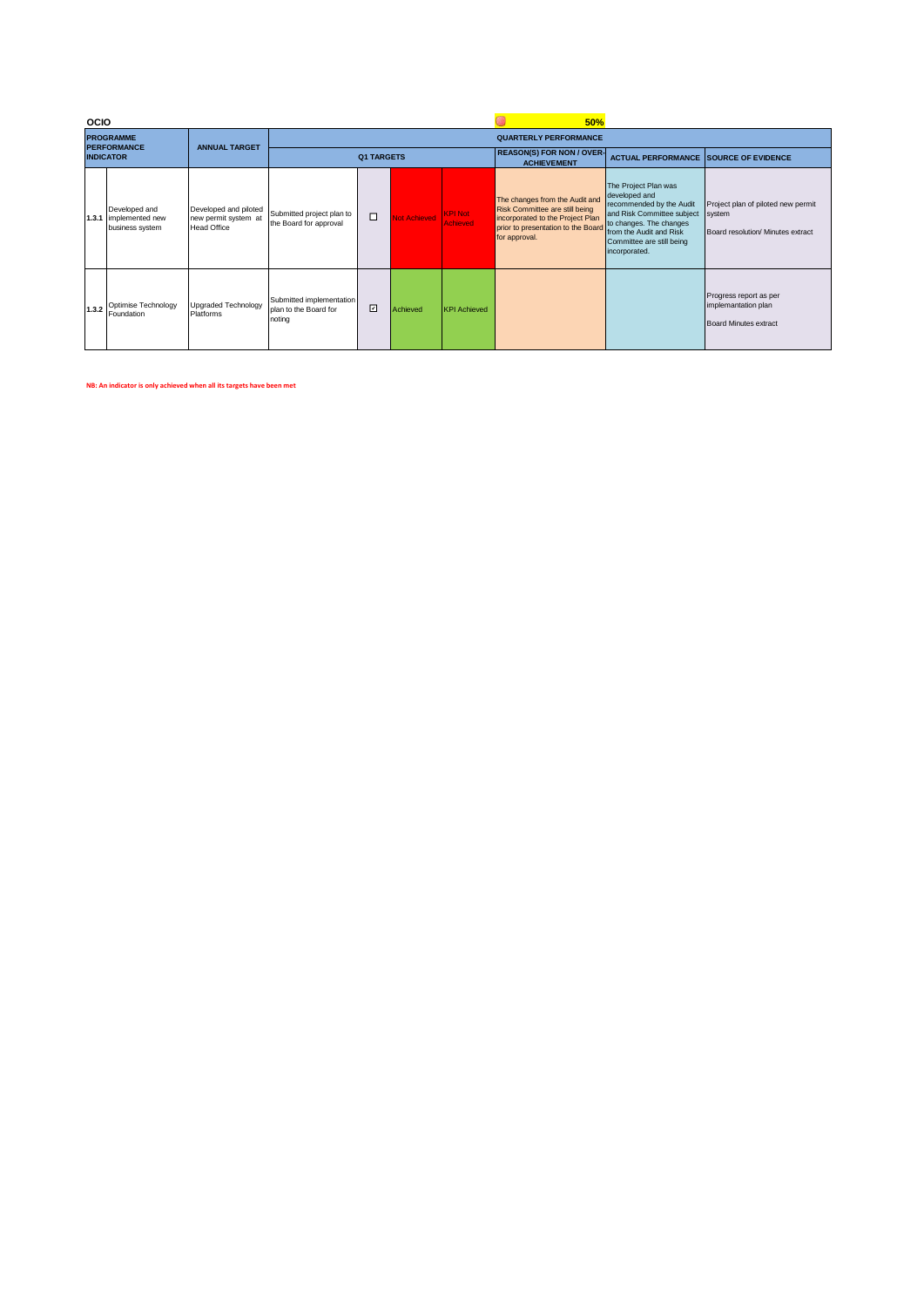|                                        | <b>OCIO</b> |                                                           |                                                                     |                                                             | 50%               |                     |                                   |                                                                                                                                                             |                                                                                                                                                                                                     |                                                                                   |
|----------------------------------------|-------------|-----------------------------------------------------------|---------------------------------------------------------------------|-------------------------------------------------------------|-------------------|---------------------|-----------------------------------|-------------------------------------------------------------------------------------------------------------------------------------------------------------|-----------------------------------------------------------------------------------------------------------------------------------------------------------------------------------------------------|-----------------------------------------------------------------------------------|
|                                        |             | <b>PROGRAMME</b>                                          | <b>ANNUAL TARGET</b>                                                |                                                             |                   |                     |                                   | <b>QUARTERLY PERFORMANCE</b>                                                                                                                                |                                                                                                                                                                                                     |                                                                                   |
| <b>PERFORMANCE</b><br><b>INDICATOR</b> |             |                                                           |                                                                     |                                                             | <b>Q1 TARGETS</b> |                     |                                   | <b>REASON(S) FOR NON / OVER-</b><br><b>ACHIEVEMENT</b>                                                                                                      | <b>ACTUAL PERFORMANCE SOURCE OF EVIDENCE</b>                                                                                                                                                        |                                                                                   |
|                                        |             | Developed and<br>1.3.1 implemented new<br>business system | Developed and piloted<br>new permit system at<br><b>Head Office</b> | Submitted project plan to<br>the Board for approval         | $\Box$            | <b>Not Achieved</b> | <b>KPI Not</b><br><b>Achieved</b> | The changes from the Audit and<br>Risk Committee are still being<br>incorporated to the Project Plan<br>prior to presentation to the Board<br>for approval. | The Project Plan was<br>developed and<br>recommended by the Audit<br>and Risk Committee subject<br>to changes. The changes<br>from the Audit and Risk<br>Committee are still being<br>incorporated. | Project plan of piloted new permit<br>system<br>Board resolution/ Minutes extract |
|                                        | 1.3.2       | Optimise Technology<br>Foundation                         | Upgraded Technology<br>Platforms                                    | Submitted implementation<br>plan to the Board for<br>noting | $\Box$            | Achieved            | <b>KPI Achieved</b>               |                                                                                                                                                             |                                                                                                                                                                                                     | Progress report as per<br>implemantation plan<br><b>Board Minutes extract</b>     |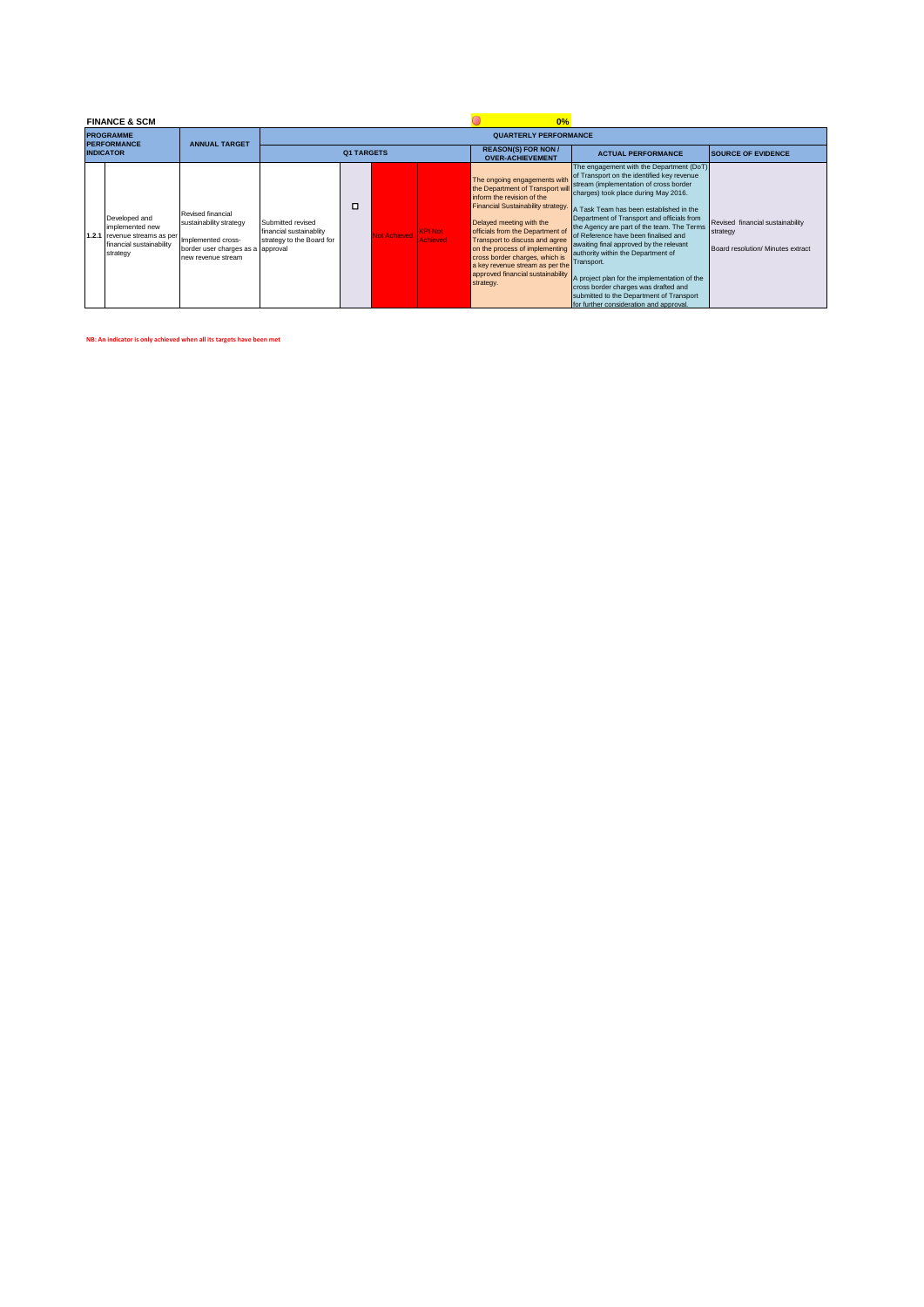|       | <b>FINANCE &amp; SCM</b>                                                                           |                                                                                                                               |                                                                           |                   |                     |                                   | 0%                                                                                                                                                                                                                                                                                                                                                                                              |                                                                                                                                                                                                                                                                                                                                                                                                                                                                                                                                                                                                                                       |                                                                                   |  |  |  |
|-------|----------------------------------------------------------------------------------------------------|-------------------------------------------------------------------------------------------------------------------------------|---------------------------------------------------------------------------|-------------------|---------------------|-----------------------------------|-------------------------------------------------------------------------------------------------------------------------------------------------------------------------------------------------------------------------------------------------------------------------------------------------------------------------------------------------------------------------------------------------|---------------------------------------------------------------------------------------------------------------------------------------------------------------------------------------------------------------------------------------------------------------------------------------------------------------------------------------------------------------------------------------------------------------------------------------------------------------------------------------------------------------------------------------------------------------------------------------------------------------------------------------|-----------------------------------------------------------------------------------|--|--|--|
|       | <b>PROGRAMME</b><br><b>PERFORMANCE</b>                                                             | <b>ANNUAL TARGET</b>                                                                                                          | <b>QUARTERLY PERFORMANCE</b>                                              |                   |                     |                                   |                                                                                                                                                                                                                                                                                                                                                                                                 |                                                                                                                                                                                                                                                                                                                                                                                                                                                                                                                                                                                                                                       |                                                                                   |  |  |  |
|       | <b>INDICATOR</b>                                                                                   |                                                                                                                               |                                                                           | <b>Q1 TARGETS</b> |                     |                                   | <b>REASON(S) FOR NON /</b><br><b>OVER-ACHIEVEMENT</b>                                                                                                                                                                                                                                                                                                                                           | <b>ACTUAL PERFORMANCE</b>                                                                                                                                                                                                                                                                                                                                                                                                                                                                                                                                                                                                             | <b>SOURCE OF EVIDENCE</b>                                                         |  |  |  |
| 1.2.1 | Developed and<br>implemented new<br>revenue streams as per<br>financial sustainability<br>strategy | Revised financial<br>sustainability strategy<br>Implemented cross-<br>border user charges as a approval<br>new revenue stream | Submitted revised<br>financial sustainablity<br>strategy to the Board for | □                 | <b>Not Achieved</b> | <b>KPI Not</b><br><b>Achieved</b> | The ongoing engagements with<br>the Department of Transport will<br>inform the revision of the<br>Financial Sustainability strategy.<br>Delayed meeting with the<br>officials from the Department of<br>Transport to discuss and agree<br>on the process of implementing<br>cross border charges, which is<br>a key revenue stream as per the<br>approved financial sustainability<br>strategy. | The engagement with the Department (DoT)<br>of Transport on the identified key revenue<br>stream (implementation of cross border<br>charges) took place during May 2016.<br>A Task Team has been established in the<br>Department of Transport and officials from<br>the Agency are part of the team. The Terms<br>of Reference have been finalised and<br>awaiting final approved by the relevant<br>authority within the Department of<br>Transport.<br>A project plan for the implementation of the<br>cross border charges was drafted and<br>submitted to the Department of Transport<br>for further consideration and approval. | Revised financial sustainability<br>strategy<br>Board resolution/ Minutes extract |  |  |  |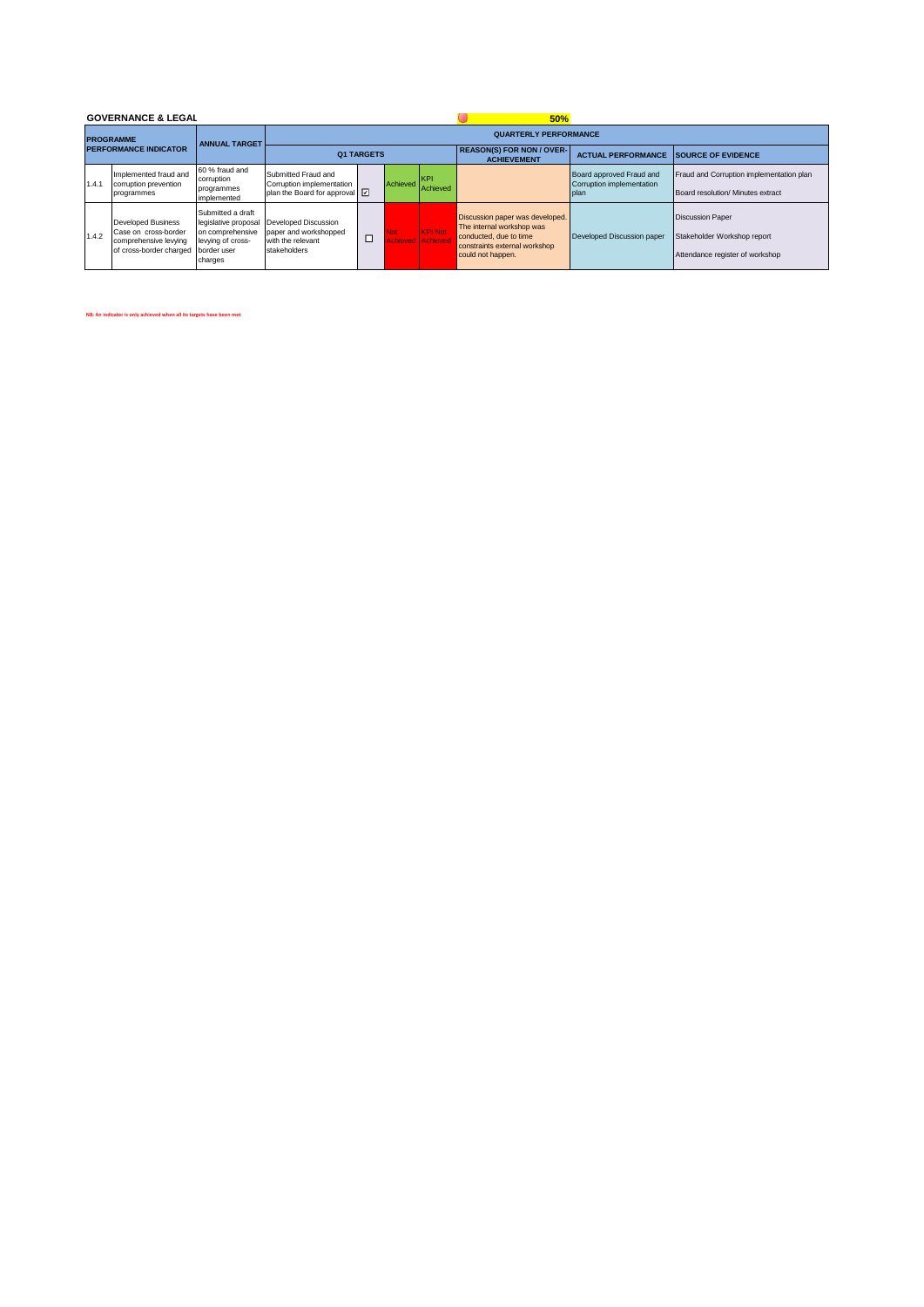|  |       | <b>GOVERNANCE &amp; LEGAL</b>                                                                         |                                                                                                              |                                                                                             |        | 50%          |                                            |                                                                                                                                              |                                                               |                                                                                           |  |  |
|--|-------|-------------------------------------------------------------------------------------------------------|--------------------------------------------------------------------------------------------------------------|---------------------------------------------------------------------------------------------|--------|--------------|--------------------------------------------|----------------------------------------------------------------------------------------------------------------------------------------------|---------------------------------------------------------------|-------------------------------------------------------------------------------------------|--|--|
|  |       | <b>PROGRAMME</b>                                                                                      | <b>ANNUAL TARGET</b>                                                                                         | <b>QUARTERLY PERFORMANCE</b>                                                                |        |              |                                            |                                                                                                                                              |                                                               |                                                                                           |  |  |
|  |       | <b>PERFORMANCE INDICATOR</b>                                                                          |                                                                                                              | <b>Q1 TARGETS</b>                                                                           |        |              |                                            | <b>REASON(S) FOR NON / OVER-</b><br><b>ACHIEVEMENT</b>                                                                                       | <b>ACTUAL PERFORMANCE</b>                                     | <b>ISOURCE OF EVIDENCE</b>                                                                |  |  |
|  | 1.4.1 | Implemented fraud and<br>corruption prevention<br>programmes                                          | 60 % fraud and<br>corruption<br>programmes<br>implemented                                                    | Submitted Fraud and<br>Corruption implementation<br>plan the Board for approval $\boxed{2}$ |        | Achieved KPI | Achieved                                   |                                                                                                                                              | Board approved Fraud and<br>Corruption implementation<br>plan | Fraud and Corruption implementation plan<br>Board resolution/ Minutes extract             |  |  |
|  | 1.4.2 | <b>Developed Business</b><br>Case on cross-border<br>comprehensive levying<br>of cross-border charged | Submitted a draft<br>legislative proposal<br>on comprehensive<br>levying of cross-<br>border user<br>charges | Developed Discussion<br>paper and workshopped<br>with the relevant<br>stakeholders          | $\Box$ | Not:         | <b>KPI Not</b><br><b>Achieved Achieved</b> | Discussion paper was developed.<br>The internal workshop was<br>conducted, due to time<br>constraints external workshop<br>could not happen. | Developed Discussion paper                                    | <b>Discussion Paper</b><br>Stakeholder Workshop report<br>Attendance register of workshop |  |  |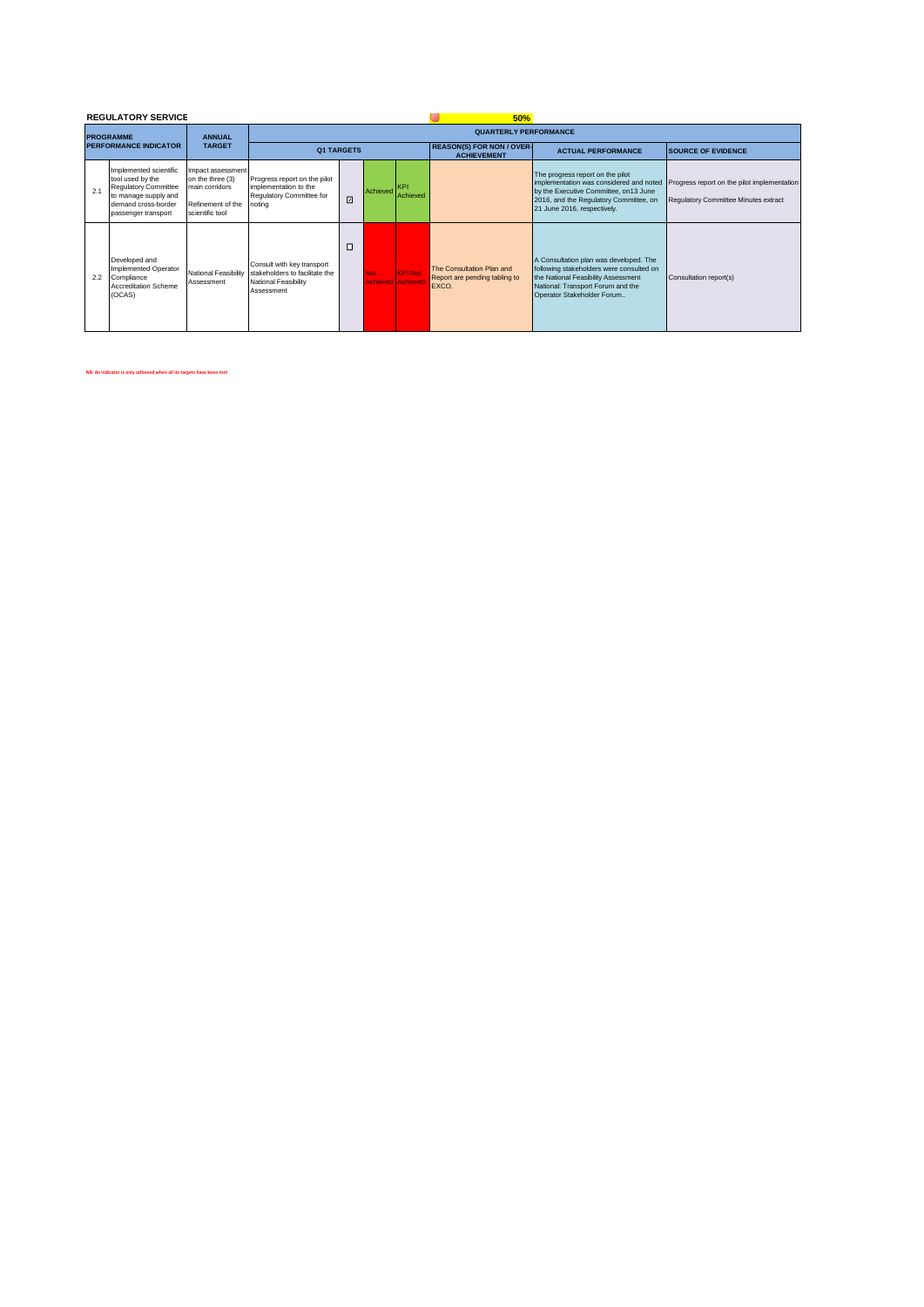|                              |     | <b>REGULATORY SERVICE</b>                                                                                                                       |                                                                                                 |                                                                                                    |                   |                                       | 50%                    |                                                                     |                                                                                                                                                                                               |                                                                                     |  |  |
|------------------------------|-----|-------------------------------------------------------------------------------------------------------------------------------------------------|-------------------------------------------------------------------------------------------------|----------------------------------------------------------------------------------------------------|-------------------|---------------------------------------|------------------------|---------------------------------------------------------------------|-----------------------------------------------------------------------------------------------------------------------------------------------------------------------------------------------|-------------------------------------------------------------------------------------|--|--|
|                              |     | <b>PROGRAMME</b>                                                                                                                                | <b>ANNUAL</b>                                                                                   |                                                                                                    |                   |                                       |                        | <b>QUARTERLY PERFORMANCE</b>                                        |                                                                                                                                                                                               |                                                                                     |  |  |
| <b>PERFORMANCE INDICATOR</b> |     |                                                                                                                                                 | <b>TARGET</b>                                                                                   |                                                                                                    | <b>Q1 TARGETS</b> |                                       |                        | <b>REASON(S) FOR NON / OVER-</b><br><b>ACHIEVEMENT</b>              | <b>ACTUAL PERFORMANCE</b>                                                                                                                                                                     | <b>SOURCE OF EVIDENCE</b>                                                           |  |  |
|                              | 2.1 | Implemented scientific<br>tool used by the<br><b>Requlatory Committee</b><br>to manage supply and<br>demand cross-border<br>passenger transport | Impact assessment<br>on the three (3)<br>main corridors<br>Refinement of the<br>scientific tool | Progress report on the pilot<br>implementation to the<br>Regulatory Committee for<br>noting        | ⊡                 | Achieved                              | <b>KPI</b><br>Achieved |                                                                     | The progress report on the pilot<br>implementation was considered and noted<br>by the Executive Committee, on13 June<br>2016, and the Regulatory Committee, on<br>21 June 2016, respectively. | Progress report on the pilot implementation<br>Regulatory Committee Minutes extract |  |  |
|                              | 2.2 | Developed and<br>Implemented Operator<br>Compliance<br>Accreditation Scheme<br>(OCAS)                                                           | National Feasibility<br>Assessment                                                              | Consult with key transport<br>stakeholders to facilitate the<br>National Feasibility<br>Assessment | □                 | <b>Not</b><br><b>Achieved Achieve</b> | <b>KPI Not</b>         | The Consultation Plan and<br>Report are pending tabling to<br>EXCO. | A Consultation plan was developed. The<br>following stakeholders were consulted on<br>the National Feasibility Assessment<br>National: Transport Forum and the<br>Operator Stakeholder Forum  | Consultation report(s)                                                              |  |  |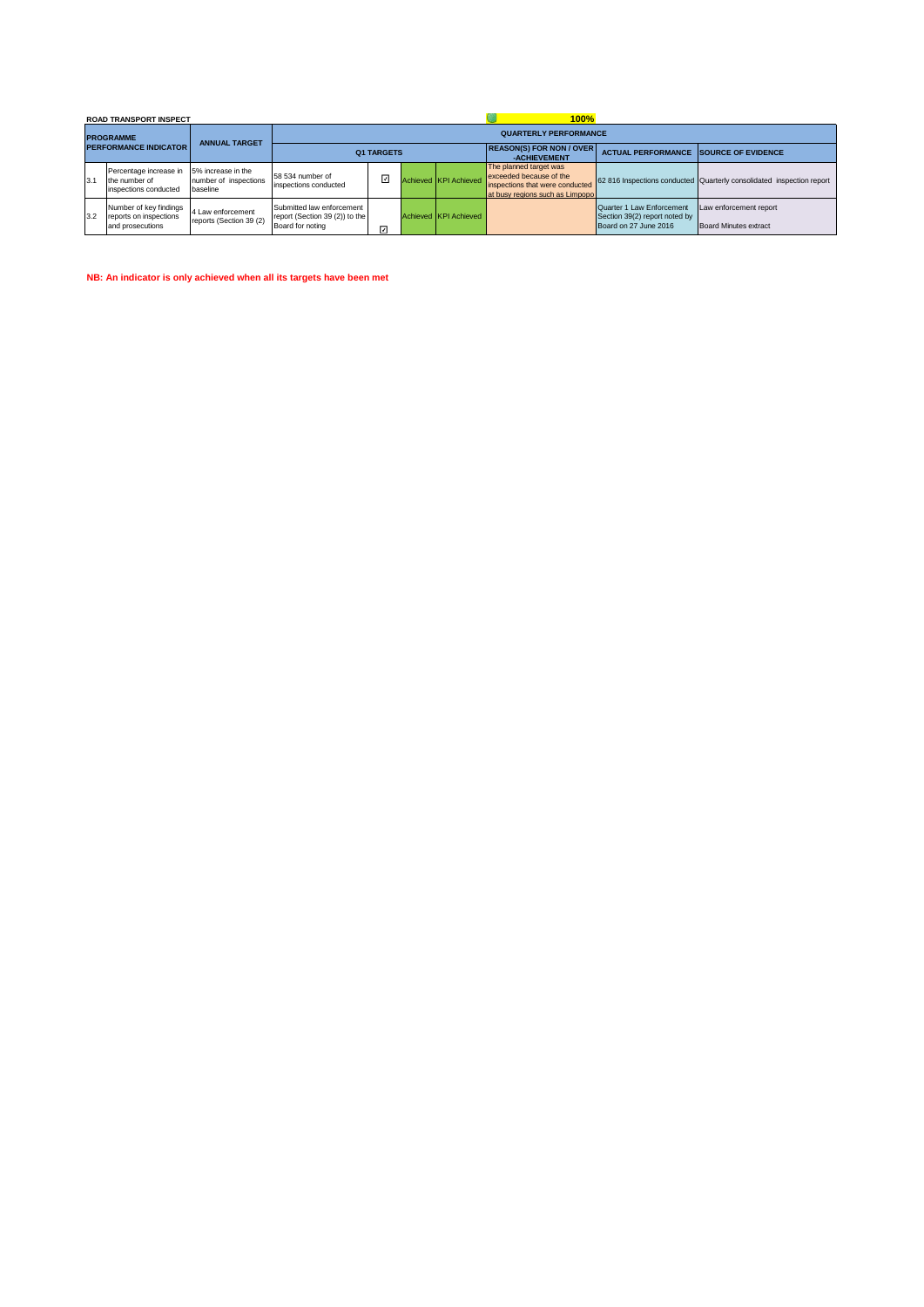|                                                  |      | <b>ROAD TRANSPORT INSPECT</b>                                        |                                                         |                                                                                 | 100%                         |  |                       |                                                                                                                         |                                                                                     |                                                                       |  |  |  |  |  |
|--------------------------------------------------|------|----------------------------------------------------------------------|---------------------------------------------------------|---------------------------------------------------------------------------------|------------------------------|--|-----------------------|-------------------------------------------------------------------------------------------------------------------------|-------------------------------------------------------------------------------------|-----------------------------------------------------------------------|--|--|--|--|--|
| <b>PROGRAMME</b><br><b>PERFORMANCE INDICATOR</b> |      |                                                                      | <b>ANNUAL TARGET</b>                                    |                                                                                 | <b>QUARTERLY PERFORMANCE</b> |  |                       |                                                                                                                         |                                                                                     |                                                                       |  |  |  |  |  |
|                                                  |      |                                                                      |                                                         |                                                                                 | <b>Q1 TARGETS</b>            |  |                       | <b>REASON(S) FOR NON / OVER</b><br>-ACHIEVEMENT                                                                         | <b>ACTUAL PERFORMANCE SOURCE OF EVIDENCE</b>                                        |                                                                       |  |  |  |  |  |
|                                                  | 13.1 | Percentage increase in<br>the number of<br>inspections conducted     | 5% increase in the<br>number of inspections<br>baseline | 58 534 number of<br>inspections conducted                                       | ⊡                            |  | Achieved KPI Achieved | The planned target was<br>exceeded because of the<br>inspections that were conducted<br>at busy regions such as Limpopo |                                                                                     | 62 816 Inspections conducted Quarterly consolidated inspection report |  |  |  |  |  |
|                                                  | 3.2  | Number of key findings<br>reports on inspections<br>and prosecutions | 4 Law enforcement<br>reports (Section 39 (2)            | Submitted law enforcement<br>report (Section 39 (2)) to the<br>Board for noting | ☑                            |  | Achieved KPI Achieved |                                                                                                                         | Quarter 1 Law Enforcement<br>Section 39(2) report noted by<br>Board on 27 June 2016 | Law enforcement report<br>Board Minutes extract                       |  |  |  |  |  |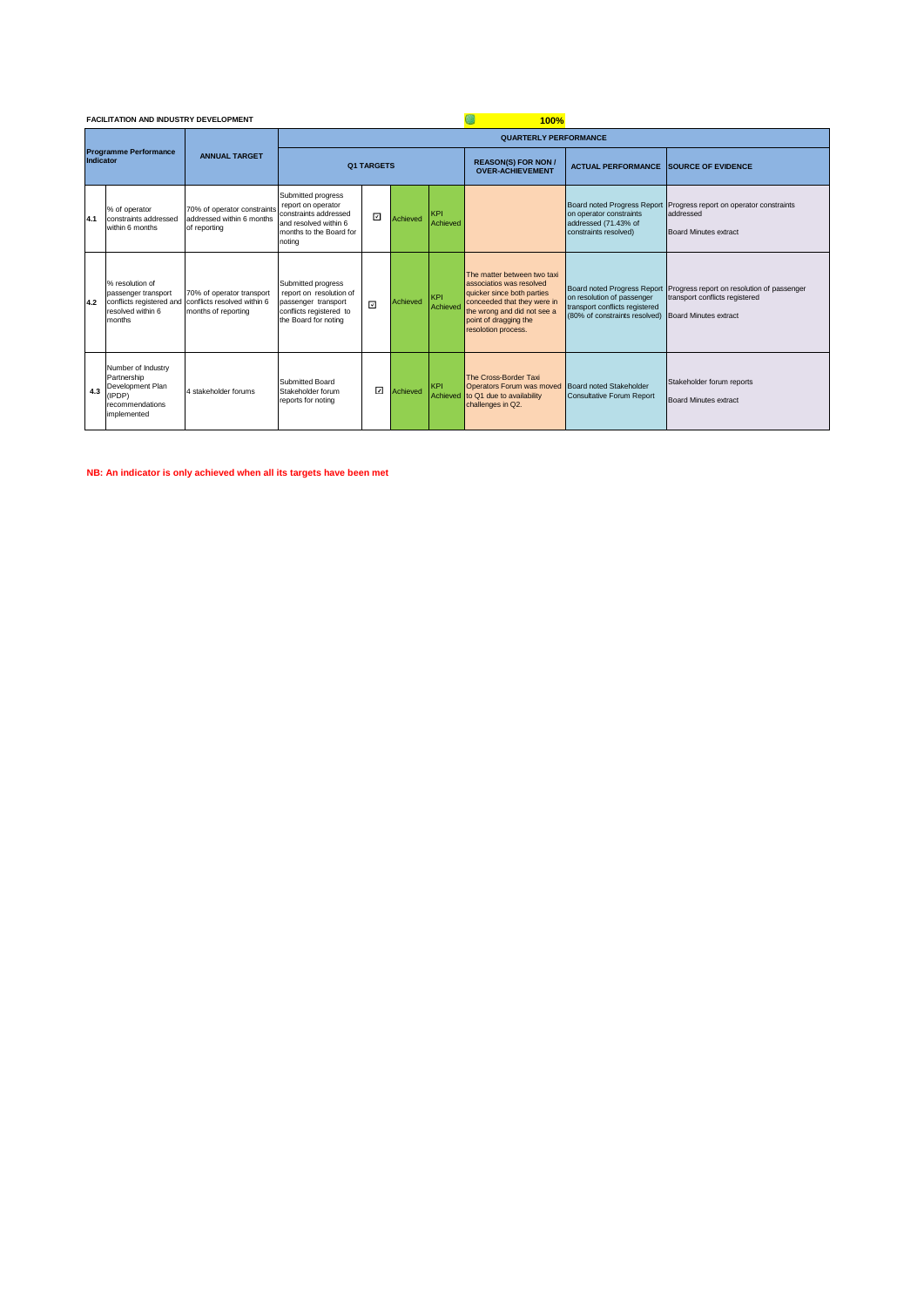|                                           | <b>FACILITATION AND INDUSTRY DEVELOPMENT</b>                                                      |                                                                                 |                                                                                                                                 |                   |          |                        | 100%                                                                                                                                                                                                |                                                                                                         |                                                                                                                                   |  |  |
|-------------------------------------------|---------------------------------------------------------------------------------------------------|---------------------------------------------------------------------------------|---------------------------------------------------------------------------------------------------------------------------------|-------------------|----------|------------------------|-----------------------------------------------------------------------------------------------------------------------------------------------------------------------------------------------------|---------------------------------------------------------------------------------------------------------|-----------------------------------------------------------------------------------------------------------------------------------|--|--|
|                                           |                                                                                                   |                                                                                 |                                                                                                                                 |                   |          |                        | <b>QUARTERLY PERFORMANCE</b>                                                                                                                                                                        |                                                                                                         |                                                                                                                                   |  |  |
| <b>Programme Performance</b><br>Indicator |                                                                                                   | <b>ANNUAL TARGET</b>                                                            |                                                                                                                                 | <b>Q1 TARGETS</b> |          |                        | <b>REASON(S) FOR NON /</b><br><b>OVER-ACHIEVEMENT</b>                                                                                                                                               | <b>ACTUAL PERFORMANCE SOURCE OF EVIDENCE</b>                                                            |                                                                                                                                   |  |  |
| 4.1                                       | % of operator<br>constraints addressed<br>within 6 months                                         | 70% of operator constraints<br>addressed within 6 months<br>of reporting        | Submitted progress<br>report on operator<br>constraints addressed<br>and resolved within 6<br>months to the Board for<br>noting | ⊡                 | Achieved | <b>KPI</b><br>Achieved |                                                                                                                                                                                                     | Board noted Progress Report<br>on operator constraints<br>addressed (71.43% of<br>constraints resolved) | Progress report on operator constraints<br>addressed<br><b>Board Minutes extract</b>                                              |  |  |
| 4.2                                       | % resolution of<br>passenger transport<br>conflicts registered and<br>resolved within 6<br>months | 70% of operator transport<br>conflicts resolved within 6<br>months of reporting | Submitted progress<br>report on resolution of<br>passenger transport<br>conflicts registered to<br>the Board for noting         | ⊡                 | Achieved | <b>KPI</b><br>Achieved | The matter between two taxi<br>associatios was resolved<br>quicker since both parties<br>conceeded that they were in<br>the wrong and did not see a<br>point of dragging the<br>resolotion process. | on resolution of passenger<br>transport conflicts registered<br>(80% of constraints resolved)           | Board noted Progress Report Progress report on resolution of passenger<br>transport conflicts registered<br>Board Minutes extract |  |  |
| 4.3                                       | Number of Industry<br>Partnership<br>Development Plan<br>(IPDP)<br>recommendations<br>implemented | 4 stakeholder forums                                                            | Submitted Board<br>Stakeholder forum<br>reports for noting                                                                      | ☑                 | Achieved | <b>KPI</b><br>Achieved | The Cross-Border Taxi<br>Operators Forum was moved<br>to Q1 due to availability<br>challenges in Q2.                                                                                                | Board noted Stakeholder<br><b>Consultative Forum Report</b>                                             | Stakeholder forum reports<br><b>Board Minutes extract</b>                                                                         |  |  |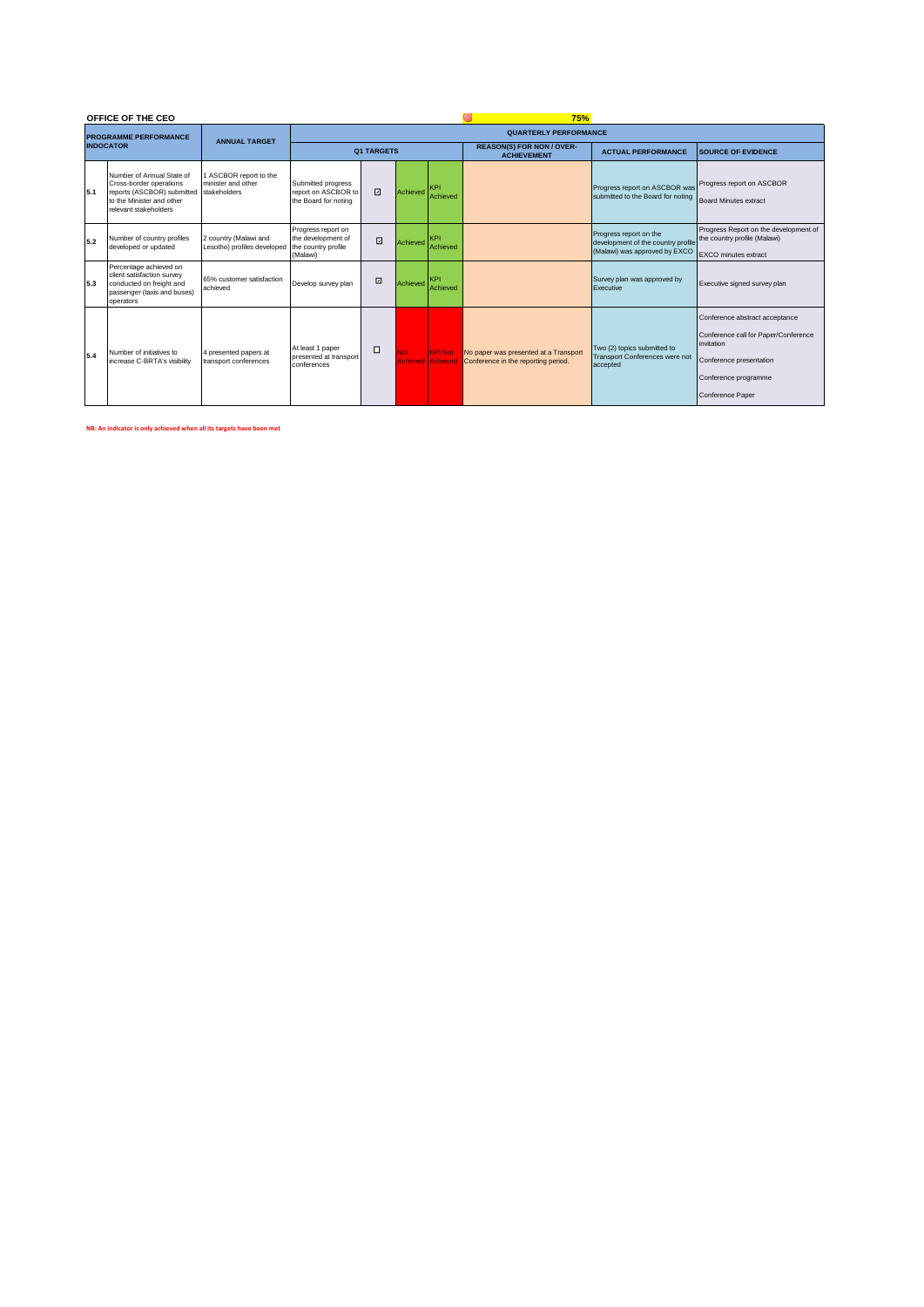|                  | OFFICE OF THE CEO                                                                                                                                     |                                                      |                                                                             |                              | <b>75%</b> |                                            |                                                                              |                                                                                               |                                                                                                                                                                    |  |  |  |  |
|------------------|-------------------------------------------------------------------------------------------------------------------------------------------------------|------------------------------------------------------|-----------------------------------------------------------------------------|------------------------------|------------|--------------------------------------------|------------------------------------------------------------------------------|-----------------------------------------------------------------------------------------------|--------------------------------------------------------------------------------------------------------------------------------------------------------------------|--|--|--|--|
|                  | <b>PROGRAMME PERFORMANCE</b>                                                                                                                          | <b>ANNUAL TARGET</b>                                 |                                                                             | <b>QUARTERLY PERFORMANCE</b> |            |                                            |                                                                              |                                                                                               |                                                                                                                                                                    |  |  |  |  |
| <b>INDOCATOR</b> |                                                                                                                                                       |                                                      |                                                                             | <b>Q1 TARGETS</b>            |            |                                            | <b>REASON(S) FOR NON / OVER-</b><br><b>ACHIEVEMENT</b>                       | <b>ACTUAL PERFORMANCE</b>                                                                     | <b>SOURCE OF EVIDENCE</b>                                                                                                                                          |  |  |  |  |
| 5.1              | Number of Annual State of<br>Cross-border operations<br>reports (ASCBOR) submitted stakeholders<br>to the Minister and other<br>relevant stakeholders | 1 ASCBOR report to the<br>minister and other         | Submitted progress<br>report on ASCBOR to<br>the Board for noting           | ⊡                            | Achieved   | KPI<br>Achieved                            |                                                                              | Progress report on ASCBOR was<br>submitted to the Board for noting                            | Progress report on ASCBOR<br><b>Board Minutes extract</b>                                                                                                          |  |  |  |  |
| 5.2              | Number of country profiles<br>developed or updated                                                                                                    | 2 country (Malawi and<br>Lesotho) profiles developed | Progress report on<br>the development of<br>the country profile<br>(Malawi) | ⊡                            | Achieved   | <b>KPI</b><br>Achieved                     |                                                                              | Progress report on the<br>development of the country profile<br>(Malawi) was approved by EXCO | Progress Report on the development of<br>the country profile (Malawi)<br><b>EXCO</b> minutes extract                                                               |  |  |  |  |
| 5.3              | Percentage achieved on<br>client satisfaction survev<br>conducted on freight and<br>passenger (taxis and buses)<br>operators                          | 65% customer satisfaction<br>achieved                | Develop survey plan                                                         | $\Box$                       | Achieved   | KPI<br>Achieved                            |                                                                              | Survey plan was approved by<br>Executive                                                      | Executive signed survey plan                                                                                                                                       |  |  |  |  |
| 5.4              | Number of initiatives to<br>increase C-BRTA's visibility                                                                                              | 4 presented papers at<br>transport conferences       | At least 1 paper<br>presented at transport<br>conferences                   | $\Box$                       | <b>Not</b> | <b>KPI Not</b><br><b>Achieved Achieved</b> | No paper was presented at a Transport<br>Conference in the reporting period. | Two (2) topics submitted to<br><b>Transport Conferences were not</b><br>accepted              | Conference abstract acceptance<br>Conference call for Paper/Conference<br>invitation<br>Conference presentation<br>Conference programme<br><b>Conference Paper</b> |  |  |  |  |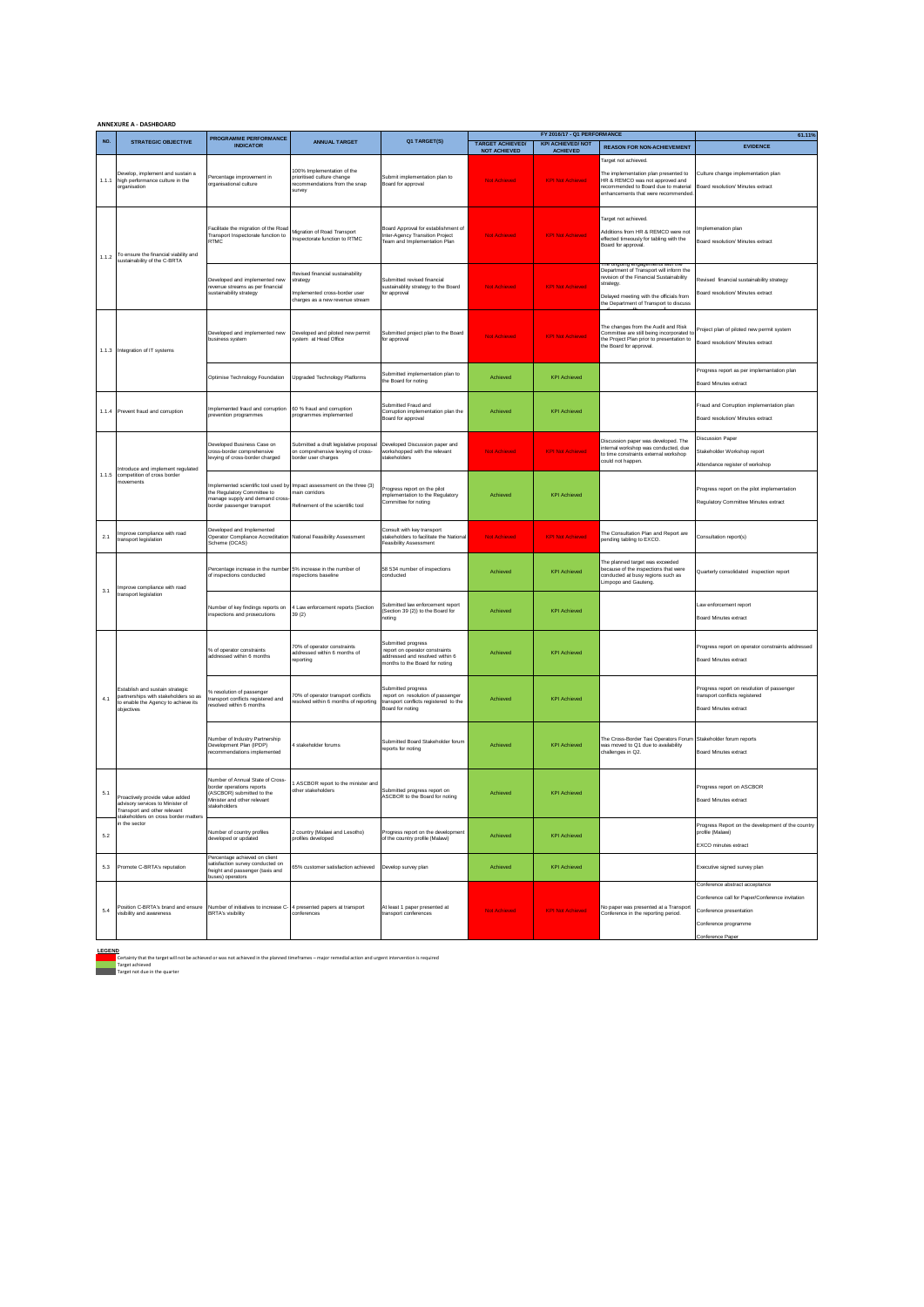|       | <b>ANNEXURE A - DASHBOARD</b>                                                                                                                                                                                         |                                                                                                                                           |                                                                                                                |                                                                                                                          |                         |                                                         |                                                                                                                                                                                      |                                                                                                                                                          |
|-------|-----------------------------------------------------------------------------------------------------------------------------------------------------------------------------------------------------------------------|-------------------------------------------------------------------------------------------------------------------------------------------|----------------------------------------------------------------------------------------------------------------|--------------------------------------------------------------------------------------------------------------------------|-------------------------|---------------------------------------------------------|--------------------------------------------------------------------------------------------------------------------------------------------------------------------------------------|----------------------------------------------------------------------------------------------------------------------------------------------------------|
| NO.   | <b>STRATEGIC OBJECTIVE</b>                                                                                                                                                                                            | PROGRAMME PERFORMANCE                                                                                                                     | <b>ANNUAL TARGET</b>                                                                                           | Q1 TARGET(S)                                                                                                             | <b>TARGET ACHIEVED/</b> | FY 2016/17 - Q1 PERFORMANCE<br><b>KPI ACHIEVED/ NOT</b> |                                                                                                                                                                                      | 61.11%                                                                                                                                                   |
|       |                                                                                                                                                                                                                       | <b>INDICATOR</b>                                                                                                                          |                                                                                                                |                                                                                                                          | <b>NOT ACHIEVED</b>     | <b>ACHIEVED</b>                                         | <b>REASON FOR NON-ACHIEVEMENT</b>                                                                                                                                                    | <b>EVIDENCE</b>                                                                                                                                          |
| 1.1.1 | Develop, implement and sustain a<br>high performance culture in the<br>organisation                                                                                                                                   | Percentage improvement in<br>organisational culture                                                                                       | 00% Implementation of the<br>prioritised culture change<br>ecommendations from the snap<br>survey              | Submit implementation plan to<br>Board for approval                                                                      | <b>Not Achieved</b>     | <b>KPI Not Achieved</b>                                 | Target not achieved.<br>The implementation plan presented to<br>HR & REMCO was not approved and<br>recommended to Board due to material<br>enhancements that were recommended        | Culture change implementation plan<br>Board resolution/ Minutes extract                                                                                  |
| 1.1.2 | To ensure the financial viability and<br>sustainability of the C-BRTA                                                                                                                                                 | Facilitate the migration of the Road<br>Transport Inspectorate function to<br><b>RTMC</b>                                                 | Migration of Road Transport<br>nspectorate function to RTMC                                                    | Board Approval for establishment of<br>nter-Agency Transition Project<br>Feam and Implementation Plan                    | <b>Not Achieved</b>     | <b>KPI Not Achieved</b>                                 | Target not achieved.<br>Additions from HR & REMCO were not<br>effected timeously for tabling with the<br>Board for approval.                                                         | mplemenation plan<br>Board resolution/ Minutes extract                                                                                                   |
|       |                                                                                                                                                                                                                       | Developed and implemented new<br>revenue streams as per financial<br>sustainability strategy                                              | Revised financial sustainability<br>strategy<br>mplemented cross-border user<br>harges as a new revenue stream | Submitted revised financial<br>sustainablity strategy to the Board<br>or approva                                         | <b>Not Achieved</b>     | <b>KPI Not Achieved</b>                                 | Department of Transport will inform the<br>revision of the Financial Sustainability<br>strategy<br>Delaved meeting with the officials from<br>the Department of Transport to discuss | Revised financial sustainability strategy<br>Board resolution/ Minutes extract                                                                           |
|       | 1.1.3 Integration of IT systems                                                                                                                                                                                       | Developed and implemented new<br>business system                                                                                          | Developed and piloted new permit<br>system at Head Office                                                      | Submitted project plan to the Board<br>or approval                                                                       | Not Achieved            | <b>KPI Not Achieved</b>                                 | The changes from the Audit and Risk<br>Committee are still being incorporated to<br>the Project Plan prior to presentation to<br>the Board for approval.                             | Project plan of piloted new permit system<br>Board resolution/ Minutes extract                                                                           |
|       |                                                                                                                                                                                                                       | Optimise Technology Foundation                                                                                                            | <b>Upgraded Technology Platforms</b>                                                                           | Submitted implementation plan to<br>the Board for noting                                                                 | Achieved                | <b>KPI Achieved</b>                                     |                                                                                                                                                                                      | Progress report as per implemantation plan<br><b>Board Minutes extract</b>                                                                               |
| 1.1.4 | Prevent fraud and corruption                                                                                                                                                                                          | Implemented fraud and corruption<br>prevention programmes                                                                                 | 60 % fraud and corruption<br>orogrammes implemented                                                            | Submitted Fraud and<br>Corruption implementation plan the<br>Board for approval                                          | Achieved                | <b>KPI Achieved</b>                                     |                                                                                                                                                                                      | Fraud and Corruption implementation plan<br>Board resolution/ Minutes extract                                                                            |
|       | Introduce and implement regulated                                                                                                                                                                                     | Developed Business Case on<br>cross-border comprehensive<br>evying of cross-border charged                                                | Submitted a draft legislative proposal<br>on comprehensive levying of cross-<br>order user charges             | Developed Discussion paper and<br>vorkshopped with the relevant<br>takeholders                                           | Not Achieved            | <b>KPI Not Achieved</b>                                 | Discussion paper was developed. The<br>internal workshop was conducted, due<br>to time constraints external workshop<br>could not happen.                                            | <b>Discussion Paper</b><br>Stakeholder Workshop report<br>Attendance register of workshop                                                                |
| 1.1.5 | competition of cross border<br>novements                                                                                                                                                                              | Implemented scientific tool used by<br>the Regulatory Committee to<br>manage supply and demand cross<br>border passenger transport        | Impact assessment on the three (3)<br>main corridors<br>Refinement of the scientific tool                      | Progress report on the pilot<br>mplementation to the Regulatory<br>Committee for noting                                  | Achieved                | <b>KPI Achieved</b>                                     |                                                                                                                                                                                      | Progress report on the pilot implementation<br>Regulatory Committee Minutes extract                                                                      |
| 2.1   | Improve compliance with road<br>transport legislation                                                                                                                                                                 | Developed and Implemented<br>Operator Compliance Accreditation<br>Scheme (OCAS)                                                           | National Feasibility Assessment                                                                                | Consult with key transport<br>IsociteV edt etstilizet of arehiodests<br>easibility Assessment                            | Not Achieved            | <b>KPI Not Achieved</b>                                 | The Consultation Plan and Report are<br>pending tabling to EXCO.                                                                                                                     | Consultation report(s)                                                                                                                                   |
| 3.1   | Improve compliance with road                                                                                                                                                                                          | Percentage increase in the number<br>of inspections conducted                                                                             | 5% increase in the number of<br>inspections baseline                                                           | 58 534 number of inspections<br>conducted                                                                                | Achieved                | <b>KPI Achieved</b>                                     | The planned target was exceeded<br>because of the inspections that were<br>conducted at busy regions such as<br>Limpopo and Gauteng.                                                 | Quarterly consolidated inspection report                                                                                                                 |
|       | transport legislation                                                                                                                                                                                                 | Number of key findings reports on<br>inspections and prosecutions                                                                         | 4 Law enforcement reports (Section<br>39 (2)                                                                   | Submitted law enforcement report<br>Section 39 (2)) to the Board for<br>hoting                                           | Achieved                | <b>KPI Achieved</b>                                     |                                                                                                                                                                                      | Law enforcement report<br>Board Minutes extract                                                                                                          |
|       |                                                                                                                                                                                                                       | % of operator constraints<br>addressed within 6 months                                                                                    | 70% of operator constraints<br>addressed within 6 months of<br>reportina                                       | Submitted progress<br>report on operator constraints<br>ddressed and resolved within 6<br>nonths to the Board for noting | Achieved                | <b>KPI Achieved</b>                                     |                                                                                                                                                                                      | Progress report on operator constraints addressed<br><b>Board Minutes extract</b>                                                                        |
| 4.1   | Establish and sustain strategic<br>partnerships with stakeholders so as<br>to enable the Agency to achieve its<br>objectives                                                                                          | % resolution of passenger<br>transport conflicts registered and<br>esolved within 6 months                                                | 70% of operator transport conflicts<br>esolved within 6 months of reporting                                    | Submitted progress<br>report on resolution of passenger<br>ransport conflicts registered to the<br>Board for noting      | Achieved                | <b>KPI Achieved</b>                                     |                                                                                                                                                                                      | Progress report on resolution of passenger<br>transport conflicts registered<br>Board Minutes extract                                                    |
|       |                                                                                                                                                                                                                       | Number of Industry Partnership<br>Development Plan (IPDP)<br>recommendations implemented                                                  | stakeholder forums                                                                                             | Submitted Board Stakeholder forum<br>eports for noting                                                                   | Achieved                | <b>KPI Achieved</b>                                     | The Cross-Border Taxi Operators Forum Stakeholder forum reports<br>was moved to Q1 due to availability<br>challenges in Q2.                                                          | <b>Board Minutes extract</b>                                                                                                                             |
| 5.1   | Proactively provide value added<br>advisory services to Minister of<br>ransport and other relevant<br>stakeholders on cross border matters                                                                            | Number of Annual State of Cross-<br>border operations reports<br>(ASCBOR) submitted to the<br>Minister and other relevant<br>stakeholders | ASCBOR report to the minister and<br>other stakeholders                                                        | Submitted progress report on<br>ASCBOR to the Board for noting                                                           | Achieved                | <b>KPI Achieved</b>                                     |                                                                                                                                                                                      | Progress report on ASCBOR<br><b>Board Minutes extract</b>                                                                                                |
| 5.2   | in the sector                                                                                                                                                                                                         | Number of country profiles<br>developed or updated                                                                                        | 2 country (Malawi and Lesotho)<br>rofiles developed                                                            | Progress report on the development<br>of the country profile (Malawi)                                                    | Achieved                | <b>KPI Achieved</b>                                     |                                                                                                                                                                                      | Progress Report on the development of the country<br>profile (Malawi)<br>EXCO minutes extract                                                            |
| 5.3   | Percentage achieved on client<br>satisfaction survey conducted on<br>Promote C-BRTA's reputation<br>65% customer satisfaction achieved<br>Develop survey plan<br>freight and passenger (taxis and<br>buses) operators |                                                                                                                                           |                                                                                                                | Achieved                                                                                                                 | <b>KPI Achieved</b>     |                                                         | Executive signed survey plan                                                                                                                                                         |                                                                                                                                                          |
| 5.4   | Position C-BRTA's brand and ensure<br>visibility and awareness                                                                                                                                                        | Number of initiatives to increase C-<br><b>BRTA's visibility</b>                                                                          | 4 presented papers at transport<br>conferences                                                                 | At least 1 paper presented at<br>ransport conferences                                                                    | <b>Not Achieved</b>     | <b>KPI Not Achieved</b>                                 | No paper was presented at a Transport<br>Conference in the reporting period.                                                                                                         | Conference abstract acceptance<br>Conference call for Paper/Conference invitation<br>Conference presentation<br>Conference programme<br>Conference Paper |

**LEGEND**<br>Certainty that the target will not be achieved or was not achieved in the planned timeframes – major remedial action and urgent intervention is required<br>Target achieved